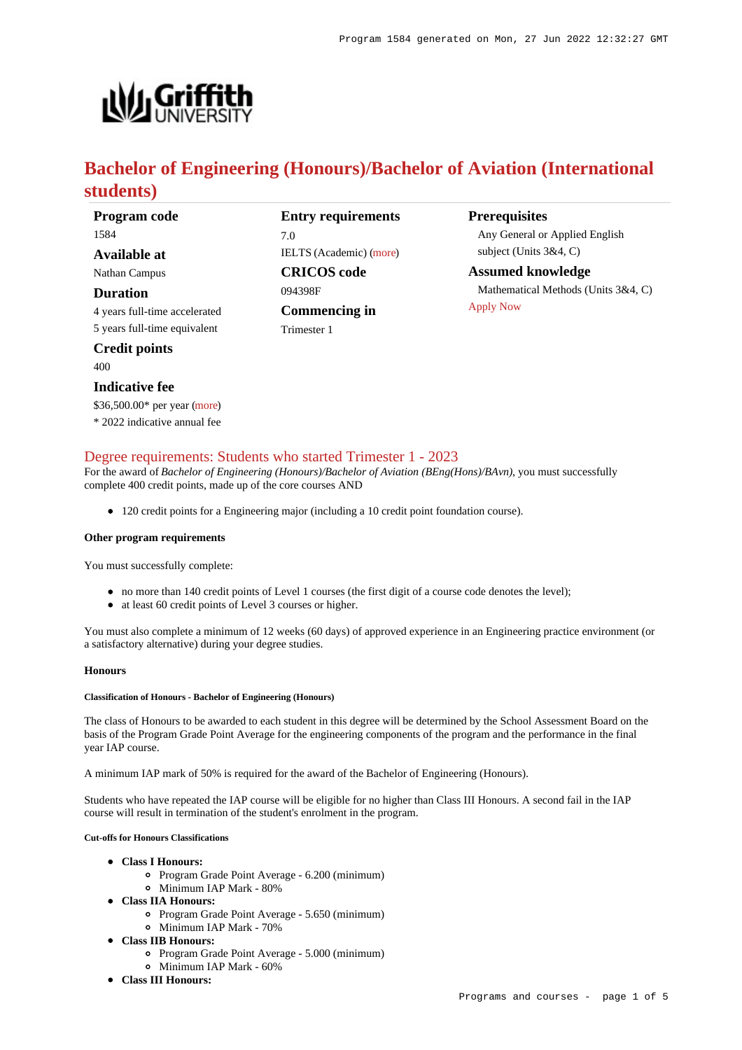

# **Bachelor of Engineering (Honours)/Bachelor of Aviation (International students)**

**Program code** 1584 **Available at**

Nathan Campus

**Duration**

4 years full-time accelerated 5 years full-time equivalent

**Credit points**

400

#### **Indicative fee**

\$36,500.00\* per year [\(more](https://www148.griffith.edu.au/programs-courses/Program/1584/Overview/International#fees))

\* 2022 indicative annual fee

## 7.0 IELTS (Academic) [\(more](https://www148.griffith.edu.au/programs-courses/Program/1584/HowToApply/International#language))

**Entry requirements**

**CRICOS code** 094398F **Commencing in** Trimester 1

#### **Prerequisites**

Any General or Applied English subject (Units 3&4, C)

**Assumed knowledge** Mathematical Methods (Units 3&4, C) [Apply Now](https://www148.griffith.edu.au/programs-courses/Program/1584/HowToApply/International#process)

## [Degree requirements: Students who started Trimester 1 - 2023](https://www148.griffith.edu.au/programs-courses/Program/1584/Courses/International#degree-requirements)

For the award of *Bachelor of Engineering (Honours)/Bachelor of Aviation (BEng(Hons)/BAvn)*, you must successfully complete 400 credit points, made up of the core courses AND

120 credit points for a Engineering major (including a 10 credit point foundation course).

#### **Other program requirements**

You must successfully complete:

- no more than 140 credit points of Level 1 courses (the first digit of a course code denotes the level);
- at least 60 credit points of Level 3 courses or higher.

You must also complete a minimum of 12 weeks (60 days) of approved experience in an Engineering practice environment (or a satisfactory alternative) during your degree studies.

#### **Honours**

#### **Classification of Honours - Bachelor of Engineering (Honours)**

The class of Honours to be awarded to each student in this degree will be determined by the School Assessment Board on the basis of the Program Grade Point Average for the engineering components of the program and the performance in the final year IAP course.

A minimum IAP mark of 50% is required for the award of the Bachelor of Engineering (Honours).

Students who have repeated the IAP course will be eligible for no higher than Class III Honours. A second fail in the IAP course will result in termination of the student's enrolment in the program.

#### **Cut-offs for Honours Classifications**

- **Class I Honours:**
	- Program Grade Point Average 6.200 (minimum)
	- Minimum IAP Mark 80%
- **Class IIA Honours:**
	- Program Grade Point Average 5.650 (minimum)
	- Minimum IAP Mark 70%
- **Class IIB Honours:**
	- Program Grade Point Average 5.000 (minimum)
	- Minimum IAP Mark 60%
- **Class III Honours:**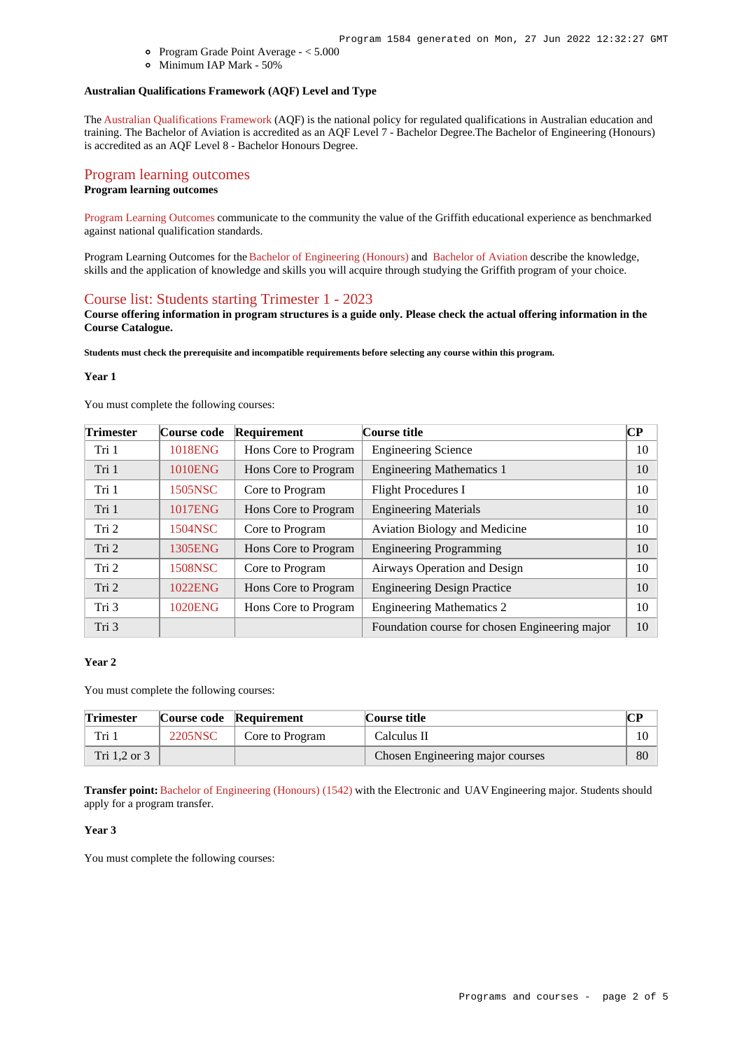- Program Grade Point Average < 5.000
- Minimum IAP Mark 50%

## **Australian Qualifications Framework (AQF) Level and Type**

The [Australian Qualifications Framework](http://www.aqf.edu.au/) (AQF) is the national policy for regulated qualifications in Australian education and training. The Bachelor of Aviation is accredited as an AQF Level 7 - Bachelor Degree.The Bachelor of Engineering (Honours) is accredited as an AQF Level 8 - Bachelor Honours Degree.

## [Program learning outcomes](https://www148.griffith.edu.au/programs-courses/Program/1584/Courses/International#programLearningOutcomes)

### **Program learning outcomes**

[Program Learning Outcomes](https://www.griffith.edu.au/__data/assets/pdf_file/0017/134522/PLO-general-advice.pdf) communicate to the community the value of the Griffith educational experience as benchmarked against national qualification standards.

Program Learning Outcomes for the [Bachelor of Engineering \(Honours\)](https://www.griffith.edu.au/__data/assets/pdf_file/0017/301193/BEngineering-Hons-PLO-L8.pdf) and [Bachelor of Aviation](https://www.griffith.edu.au/__data/assets/pdf_file/0017/301166/BAviation-PLO-L7.pdf) describe the knowledge, skills and the application of knowledge and skills you will acquire through studying the Griffith program of your choice.

#### [Course list: Students starting Trimester 1 - 2023](https://www148.griffith.edu.au/programs-courses/Program/1584/Courses/International#course-list-content)

**Course offering information in program structures is a guide only. Please check the actual offering information in the Course Catalogue.**

**Students must check the prerequisite and incompatible requirements before selecting any course within this program.**

#### **Year 1**

You must complete the following courses:

| <b>Trimester</b> | Course code    | Requirement          | Course title                                   | CР |
|------------------|----------------|----------------------|------------------------------------------------|----|
| Tri 1            | 1018ENG        | Hons Core to Program | <b>Engineering Science</b>                     | 10 |
| Tri 1            | <b>1010ENG</b> | Hons Core to Program | <b>Engineering Mathematics 1</b>               | 10 |
| Tri 1            | 1505NSC        | Core to Program      | <b>Flight Procedures I</b>                     | 10 |
| Tri 1            | <b>1017ENG</b> | Hons Core to Program | <b>Engineering Materials</b>                   | 10 |
| Tri 2            | 1504NSC        | Core to Program      | <b>Aviation Biology and Medicine</b>           | 10 |
| Tri 2            | 1305ENG        | Hons Core to Program | <b>Engineering Programming</b>                 | 10 |
| Tri 2            | 1508NSC        | Core to Program      | Airways Operation and Design                   | 10 |
| Tri 2            | 1022ENG        | Hons Core to Program | <b>Engineering Design Practice</b>             | 10 |
| Tri 3            | <b>1020ENG</b> | Hons Core to Program | <b>Engineering Mathematics 2</b>               | 10 |
| Tri 3            |                |                      | Foundation course for chosen Engineering major | 10 |

### **Year 2**

You must complete the following courses:

| <b>Trimester</b> |         | Course code Requirement | Course title                     | $\alpha$ d<br>◡ェ |
|------------------|---------|-------------------------|----------------------------------|------------------|
| Tri 1            | 2205NSC | Core to Program         | Calculus II                      | $10-1$           |
| Tri $1.2$ or $3$ |         |                         | Chosen Engineering major courses | 80               |

**Transfer point:** [Bachelor of Engineering \(Honours\) \(1542\)](https://www148.griffith.edu.au/Search/Results?SearchText=1542) with the Electronic and UAV Engineering major. Students should apply for a program transfer.

#### **Year 3**

You must complete the following courses: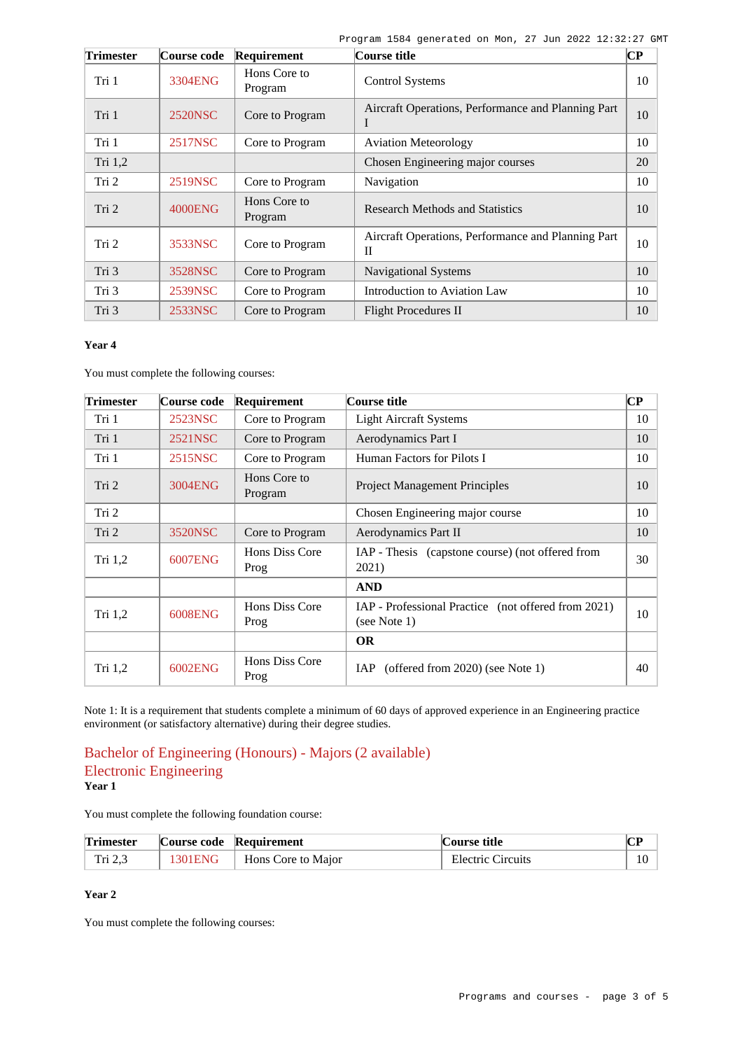| <b>Trimester</b> | Course code    | Requirement             | Course title                                            | $\bf CP$ |
|------------------|----------------|-------------------------|---------------------------------------------------------|----------|
| Tri 1            | 3304ENG        | Hons Core to<br>Program | <b>Control Systems</b>                                  | 10       |
| Tri 1            | 2520NSC        | Core to Program         | Aircraft Operations, Performance and Planning Part<br>- | 10       |
| Tri 1            | 2517NSC        | Core to Program         | <b>Aviation Meteorology</b>                             | 10       |
| Tri 1,2          |                |                         | Chosen Engineering major courses                        | 20       |
| Tri 2            | 2519NSC        | Core to Program         | Navigation                                              | 10       |
| Tri 2            | <b>4000ENG</b> | Hons Core to<br>Program | <b>Research Methods and Statistics</b>                  | 10       |
| Tri 2            | 3533NSC        | Core to Program         | Aircraft Operations, Performance and Planning Part<br>П | 10       |
| Tri 3            | 3528NSC        | Core to Program         | Navigational Systems                                    | 10       |
| Tri 3            | 2539NSC        | Core to Program         | Introduction to Aviation Law                            | 10       |
| Tri 3            | 2533NSC        | Core to Program         | <b>Flight Procedures II</b>                             | 10       |

### **Year 4**

You must complete the following courses:

| <b>Trimester</b> | Course code | Requirement             | Course title                                                        | CР |
|------------------|-------------|-------------------------|---------------------------------------------------------------------|----|
| Tri 1            | 2523NSC     | Core to Program         | <b>Light Aircraft Systems</b>                                       | 10 |
| Tri 1            | 2521NSC     | Core to Program         | Aerodynamics Part I                                                 | 10 |
| Tri 1            | 2515NSC     | Core to Program         | Human Factors for Pilots I                                          | 10 |
| Tri <sub>2</sub> | 3004ENG     | Hons Core to<br>Program | <b>Project Management Principles</b>                                | 10 |
| Tri 2            |             |                         | Chosen Engineering major course                                     | 10 |
| Tri 2            | 3520NSC     | Core to Program         | Aerodynamics Part II                                                | 10 |
| Tri $1,2$        | 6007ENG     | Hons Diss Core<br>Prog  | IAP - Thesis (capstone course) (not offered from<br>2021)           | 30 |
|                  |             |                         | <b>AND</b>                                                          |    |
| Tri $1,2$        | 6008ENG     | Hons Diss Core<br>Prog  | IAP - Professional Practice (not offered from 2021)<br>(see Note 1) | 10 |
|                  |             |                         | <b>OR</b>                                                           |    |
| Tri $1,2$        | 6002ENG     | Hons Diss Core<br>Prog  | (offered from $2020$ ) (see Note 1)<br>IAP.                         | 40 |

Note 1: It is a requirement that students complete a minimum of 60 days of approved experience in an Engineering practice environment (or satisfactory alternative) during their degree studies.

## Bachelor of Engineering (Honours) - Majors (2 available) Electronic Engineering **Year 1**

You must complete the following foundation course:

| <b>Trimester</b> | Course code Requirement |                    | Course title             |  |
|------------------|-------------------------|--------------------|--------------------------|--|
| Tri 2.3          | 1301ENG                 | Hons Core to Major | <b>Electric Circuits</b> |  |

## **Year 2**

You must complete the following courses: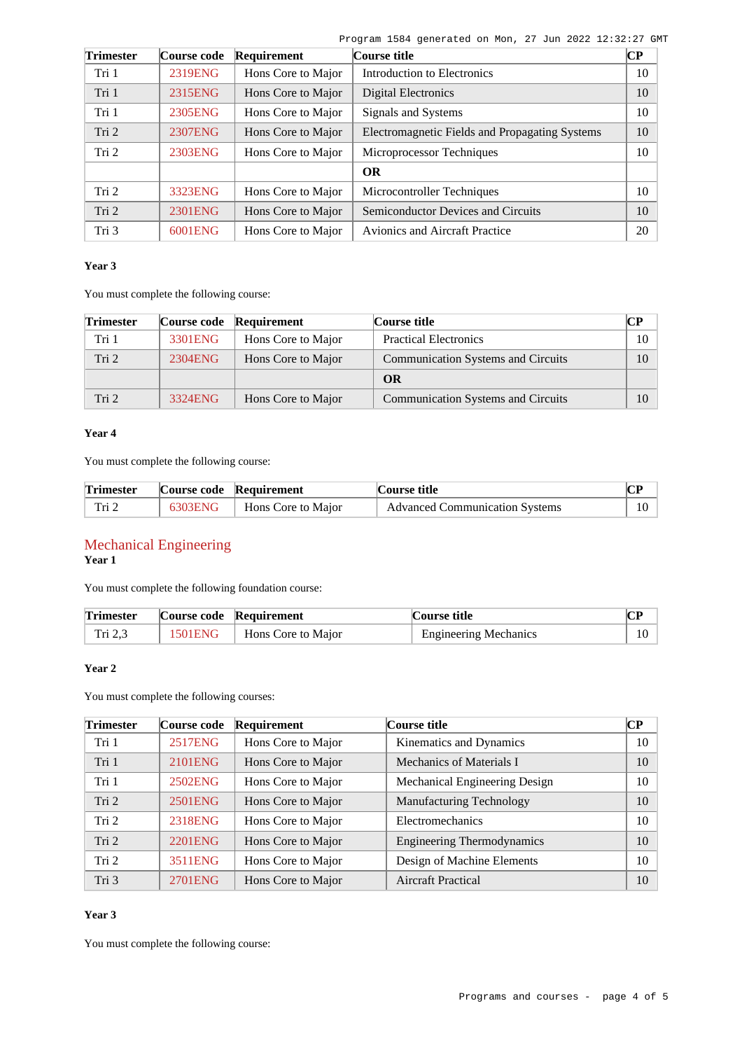|  | Program 1584 generated on Mon, 27 Jun 2022 12:32:27 GMT |  |  |  |  |
|--|---------------------------------------------------------|--|--|--|--|
|  |                                                         |  |  |  |  |

| <b>Trimester</b> | Course code | Requirement        | Course title                                   | <b>CP</b> |
|------------------|-------------|--------------------|------------------------------------------------|-----------|
| Tri 1            | 2319ENG     | Hons Core to Major | Introduction to Electronics                    | 10        |
| Tri 1            | 2315ENG     | Hons Core to Major | Digital Electronics                            | 10        |
| Tri 1            | 2305ENG     | Hons Core to Major | Signals and Systems                            | 10        |
| Tri 2            | 2307ENG     | Hons Core to Major | Electromagnetic Fields and Propagating Systems | 10        |
| Tri 2            | 2303ENG     | Hons Core to Major | Microprocessor Techniques                      | 10        |
|                  |             |                    | <b>OR</b>                                      |           |
| Tri 2            | 3323ENG     | Hons Core to Major | Microcontroller Techniques                     | 10        |
| Tri 2            | 2301ENG     | Hons Core to Major | Semiconductor Devices and Circuits             | 10        |
| Tri 3            | 6001ENG     | Hons Core to Major | <b>Avionics and Aircraft Practice</b>          | 20        |

#### **Year 3**

You must complete the following course:

| <b>Trimester</b> |         | Course code Requirement | Course title                              |    |
|------------------|---------|-------------------------|-------------------------------------------|----|
| Tri 1            | 3301ENG | Hons Core to Major      | <b>Practical Electronics</b>              | 10 |
| Tri 2            | 2304ENG | Hons Core to Major      | <b>Communication Systems and Circuits</b> | 10 |
|                  |         |                         | OR                                        |    |
| Tri 2            | 3324ENG | Hons Core to Major      | <b>Communication Systems and Circuits</b> | 10 |

## **Year 4**

You must complete the following course:

| <b>Trimester</b> | Course code Requirement      | Course title                          | $\mathbf{T}$ |
|------------------|------------------------------|---------------------------------------|--------------|
| Tri 2            | 6303ENG   Hons Core to Major | <b>Advanced Communication Systems</b> | 10           |

# Mechanical Engineering

**Year 1**

You must complete the following foundation course:

| <b>Trimester</b> | Course code Requirement      | Course title                 | $\sim$ D |
|------------------|------------------------------|------------------------------|----------|
| Tri 2.3          | 1501ENG   Hons Core to Major | <b>Engineering Mechanics</b> |          |

## **Year 2**

You must complete the following courses:

| <b>Trimester</b> | Course code    | Requirement        | Course title                      | <b>CP</b> |
|------------------|----------------|--------------------|-----------------------------------|-----------|
| Tri 1            | <b>2517ENG</b> | Hons Core to Major | Kinematics and Dynamics           | 10        |
| Tri 1            | 2101ENG        | Hons Core to Major | Mechanics of Materials I          | 10        |
| Tri 1            | 2502ENG        | Hons Core to Major | Mechanical Engineering Design     | 10        |
| Tri 2            | 2501ENG        | Hons Core to Major | <b>Manufacturing Technology</b>   | 10        |
| Tri 2            | 2318ENG        | Hons Core to Major | Electromechanics                  | 10        |
| Tri 2            | 2201ENG        | Hons Core to Major | <b>Engineering Thermodynamics</b> | 10        |
| Tri 2            | 3511ENG        | Hons Core to Major | Design of Machine Elements        | 10        |
| Tri 3            | 2701ENG        | Hons Core to Major | Aircraft Practical                | 10        |

## **Year 3**

You must complete the following course: